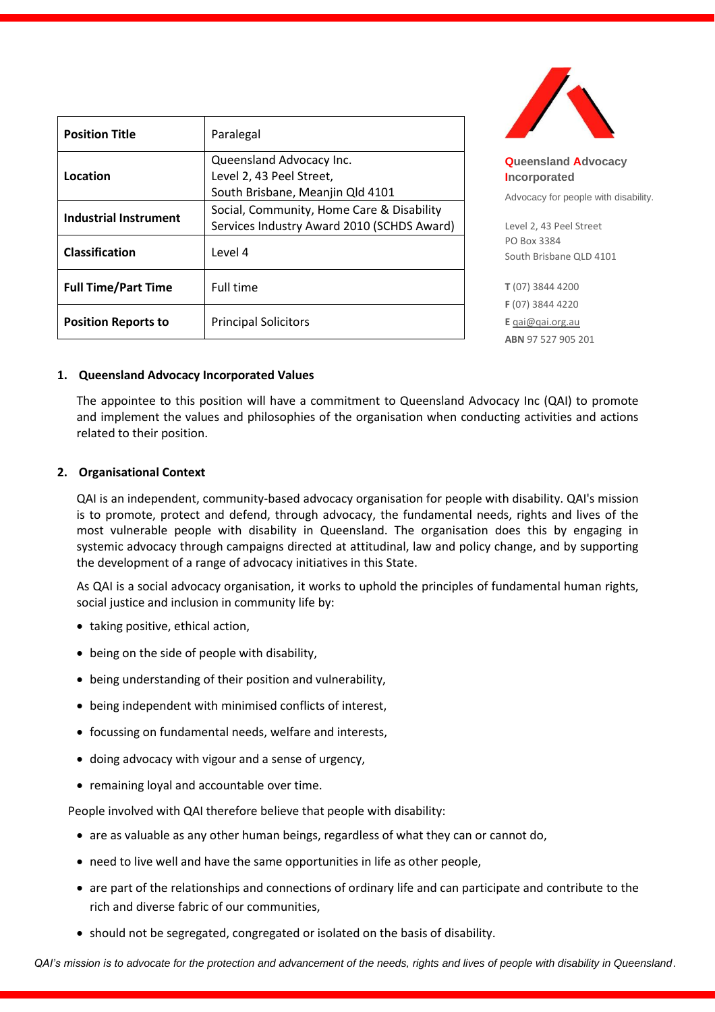| <b>Position Title</b>      | Paralegal                                                                                |
|----------------------------|------------------------------------------------------------------------------------------|
| Location                   | Queensland Advocacy Inc.<br>Level 2, 43 Peel Street,<br>South Brisbane, Meanjin Qld 4101 |
| Industrial Instrument      | Social, Community, Home Care & Disability<br>Services Industry Award 2010 (SCHDS Award)  |
| Classification             | Level 4                                                                                  |
| <b>Full Time/Part Time</b> | Full time                                                                                |
| <b>Position Reports to</b> | <b>Principal Solicitors</b>                                                              |



**Queensland Advocacy Incorporated**  Advocacy for people with disability.

Level 2, 43 Peel Street PO Box 3384 South Brisbane QLD 4101

**T** (07) 3844 4200 **F** (07) 3844 4220 **E** [qai@qai.org.au](mailto:qai@qai.org.au) **ABN** 97 527 905 201

### **1. Queensland Advocacy Incorporated Values**

The appointee to this position will have a commitment to Queensland Advocacy Inc (QAI) to promote and implement the values and philosophies of the organisation when conducting activities and actions related to their position.

# **2. Organisational Context**

QAI is an independent, community-based advocacy organisation for people with disability. QAI's mission is to promote, protect and defend, through advocacy, the fundamental needs, rights and lives of the most vulnerable people with disability in Queensland. The organisation does this by engaging in systemic advocacy through campaigns directed at attitudinal, law and policy change, and by supporting the development of a range of advocacy initiatives in this State.

As QAI is a social advocacy organisation, it works to uphold the principles of fundamental human rights, social justice and inclusion in community life by:

- taking positive, ethical action,
- being on the side of people with disability,
- being understanding of their position and vulnerability,
- being independent with minimised conflicts of interest,
- focussing on fundamental needs, welfare and interests,
- doing advocacy with vigour and a sense of urgency,
- remaining loyal and accountable over time.

People involved with QAI therefore believe that people with disability:

- are as valuable as any other human beings, regardless of what they can or cannot do,
- need to live well and have the same opportunities in life as other people,
- are part of the relationships and connections of ordinary life and can participate and contribute to the rich and diverse fabric of our communities,
- should not be segregated, congregated or isolated on the basis of disability.

*QAI's mission is to advocate for the protection and advancement of the needs, rights and lives of people with disability in Queensland*.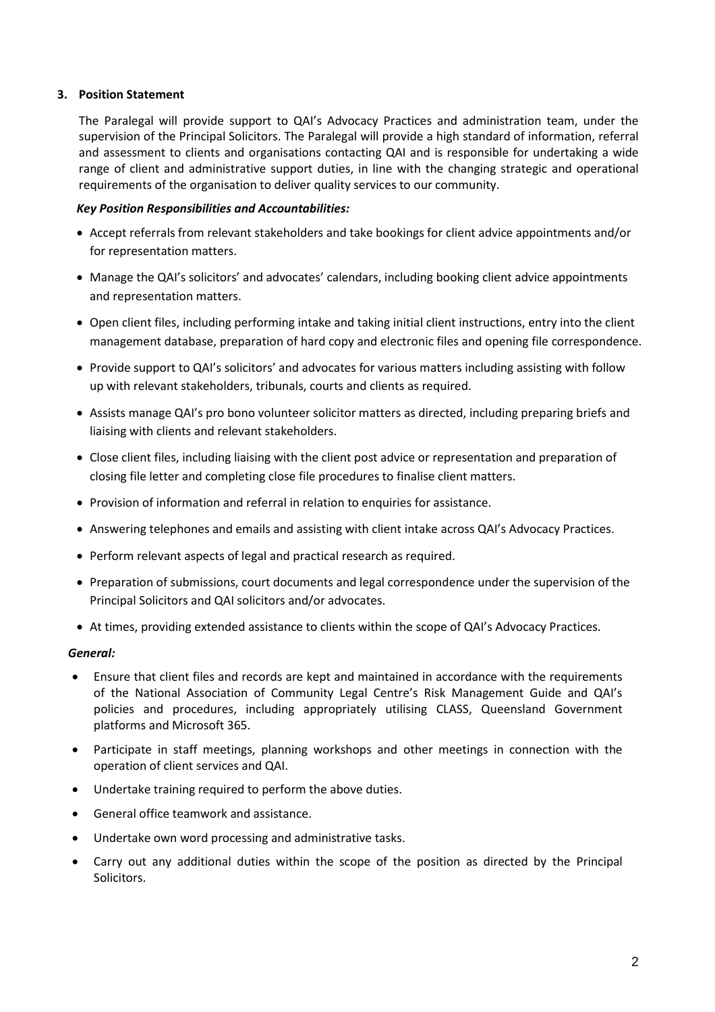# **3. Position Statement**

The Paralegal will provide support to QAI's Advocacy Practices and administration team, under the supervision of the Principal Solicitors. The Paralegal will provide a high standard of information, referral and assessment to clients and organisations contacting QAI and is responsible for undertaking a wide range of client and administrative support duties, in line with the changing strategic and operational requirements of the organisation to deliver quality services to our community.

# *Key Position Responsibilities and Accountabilities:*

- Accept referrals from relevant stakeholders and take bookings for client advice appointments and/or for representation matters.
- Manage the QAI's solicitors' and advocates' calendars, including booking client advice appointments and representation matters.
- Open client files, including performing intake and taking initial client instructions, entry into the client management database, preparation of hard copy and electronic files and opening file correspondence.
- Provide support to QAI's solicitors' and advocates for various matters including assisting with follow up with relevant stakeholders, tribunals, courts and clients as required.
- Assists manage QAI's pro bono volunteer solicitor matters as directed, including preparing briefs and liaising with clients and relevant stakeholders.
- Close client files, including liaising with the client post advice or representation and preparation of closing file letter and completing close file procedures to finalise client matters.
- Provision of information and referral in relation to enquiries for assistance.
- Answering telephones and emails and assisting with client intake across QAI's Advocacy Practices.
- Perform relevant aspects of legal and practical research as required.
- Preparation of submissions, court documents and legal correspondence under the supervision of the Principal Solicitors and QAI solicitors and/or advocates.
- At times, providing extended assistance to clients within the scope of QAI's Advocacy Practices.

### *General:*

- Ensure that client files and records are kept and maintained in accordance with the requirements of the National Association of Community Legal Centre's Risk Management Guide and QAI's policies and procedures, including appropriately utilising CLASS, Queensland Government platforms and Microsoft 365.
- Participate in staff meetings, planning workshops and other meetings in connection with the operation of client services and QAI.
- Undertake training required to perform the above duties.
- General office teamwork and assistance.
- Undertake own word processing and administrative tasks.
- Carry out any additional duties within the scope of the position as directed by the Principal Solicitors.